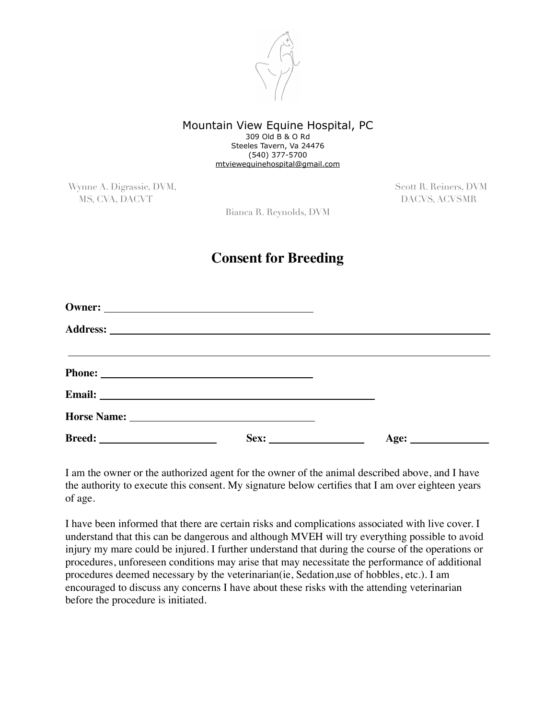

## Mountain View Equine Hospital, PC 309 Old B & O Rd Steeles Tavern, Va 24476 (540) 377-5700 [mtviewequinehospital@gmail.com](mailto:mtviewequinehospital@gmail.com)

Wynne A. Digrassie, DVM, Scott R. Reiners, DVM, Scott R. Reiners, DVM MS, CVA, DACVT DACVS, ACVSMR

Bianca R. Reynolds, DVM

## **Consent for Breeding**

| Sex: |  |
|------|--|

I am the owner or the authorized agent for the owner of the animal described above, and I have the authority to execute this consent. My signature below certifies that I am over eighteen years of age.

I have been informed that there are certain risks and complications associated with live cover. I understand that this can be dangerous and although MVEH will try everything possible to avoid injury my mare could be injured. I further understand that during the course of the operations or procedures, unforeseen conditions may arise that may necessitate the performance of additional procedures deemed necessary by the veterinarian(ie, Sedation,use of hobbles, etc.). I am encouraged to discuss any concerns I have about these risks with the attending veterinarian before the procedure is initiated.